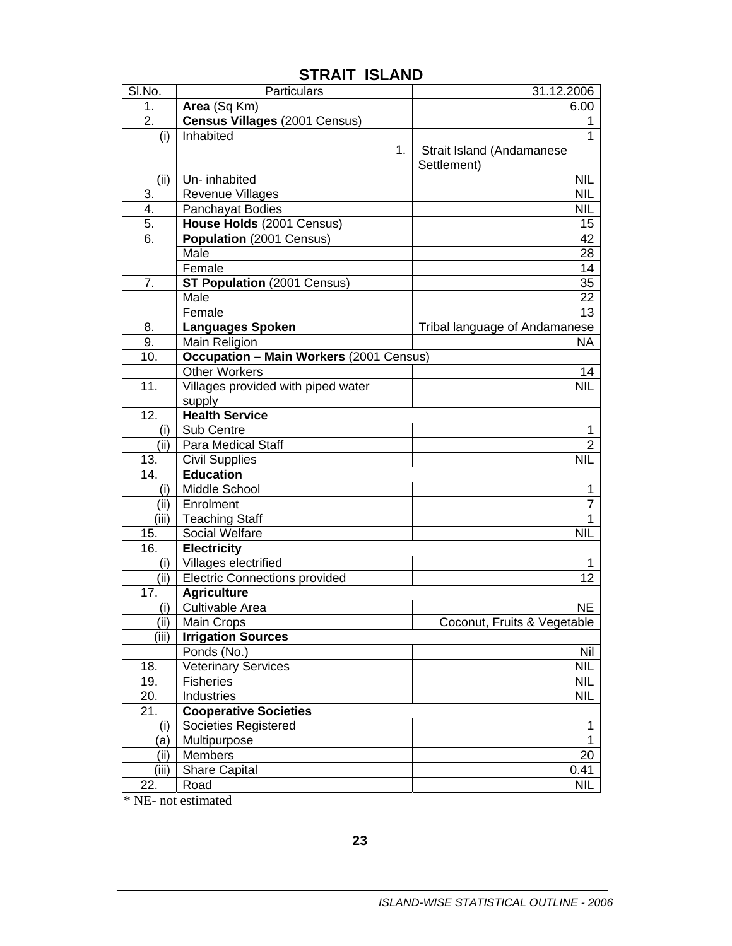| SI.No.                    | Particulars                                    | 31.12.2006                    |
|---------------------------|------------------------------------------------|-------------------------------|
| 1.                        | Area (Sq Km)                                   | 6.00                          |
| 2.                        | <b>Census Villages (2001 Census)</b>           | 1                             |
| (i)                       | Inhabited                                      | 1                             |
|                           | 1.                                             | Strait Island (Andamanese     |
|                           |                                                | Settlement)                   |
| (ii)                      | Un- inhabited                                  | NIL                           |
| 3.                        | <b>Revenue Villages</b>                        | <b>NIL</b>                    |
| 4.                        | Panchayat Bodies                               | <b>NIL</b>                    |
| 5.                        | House Holds (2001 Census)                      | 15                            |
| 6.                        | Population (2001 Census)                       | 42                            |
|                           | Male                                           | 28                            |
|                           | Female                                         | 14                            |
| 7.                        | ST Population (2001 Census)                    | 35                            |
|                           | Male                                           | 22                            |
|                           | Female                                         | 13                            |
| 8.                        | <b>Languages Spoken</b>                        | Tribal language of Andamanese |
| 9.                        | Main Religion                                  | <b>NA</b>                     |
| 10.                       | <b>Occupation - Main Workers (2001 Census)</b> |                               |
|                           | <b>Other Workers</b>                           | 14                            |
| 11.                       | Villages provided with piped water             | <b>NIL</b>                    |
|                           | supply                                         |                               |
| 12.                       | <b>Health Service</b>                          |                               |
| (i)                       | Sub Centre                                     | 1                             |
| (ii)                      | Para Medical Staff                             | $\overline{2}$                |
| 13.                       | <b>Civil Supplies</b>                          | <b>NIL</b>                    |
| 14.                       | <b>Education</b>                               |                               |
| (i)                       | Middle School                                  | 1                             |
| (ii)                      | Enrolment                                      | $\overline{7}$                |
| (iii)                     | <b>Teaching Staff</b>                          | 1                             |
| 15.                       | Social Welfare                                 | <b>NIL</b>                    |
| 16.                       | <b>Electricity</b>                             |                               |
| (i)                       | Villages electrified                           | 1                             |
| (ii)                      | <b>Electric Connections provided</b>           | 12                            |
| 17.                       | <b>Agriculture</b>                             |                               |
| (i)                       | Cultivable Area                                | NE                            |
| (ii)                      | Main Crops                                     | Coconut, Fruits & Vegetable   |
| $\overline{\text{(iii)}}$ | <b>Irrigation Sources</b>                      |                               |
|                           | Ponds (No.)                                    | Nil                           |
| 18.                       | <b>Veterinary Services</b>                     | <b>NIL</b>                    |
| 19.                       | <b>Fisheries</b>                               | <b>NIL</b>                    |
| 20.                       | Industries                                     | <b>NIL</b>                    |
| 21.                       | <b>Cooperative Societies</b>                   |                               |
| (i)                       | <b>Societies Registered</b>                    | 1                             |
| (a)                       | Multipurpose                                   | 1                             |
| (ii)                      | Members                                        | 20                            |
| (iii)                     | <b>Share Capital</b>                           | 0.41                          |
| 22.                       | Road                                           | <b>NIL</b>                    |

## **STRAIT ISLAND**

\* NE- not estimated